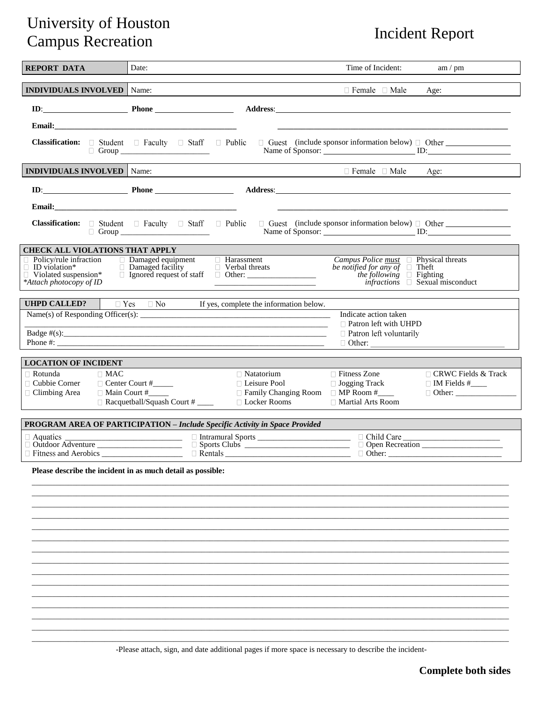## University of Houston<br>
Compus Pecreation<br>
Compus Pecreation Campus Recreation

| <b>REPORT DATA</b>                                                                                       | Date:                                                                                                                                         |                                                                                                       | Time of Incident:                                                                                                                                                                                      | am / pm                                                                                   |
|----------------------------------------------------------------------------------------------------------|-----------------------------------------------------------------------------------------------------------------------------------------------|-------------------------------------------------------------------------------------------------------|--------------------------------------------------------------------------------------------------------------------------------------------------------------------------------------------------------|-------------------------------------------------------------------------------------------|
| <b>INDIVIDUALS INVOLVED</b> Name:                                                                        |                                                                                                                                               |                                                                                                       | $\Box$ Female $\Box$ Male                                                                                                                                                                              | Age:                                                                                      |
|                                                                                                          | $ID:$ Phone Phone                                                                                                                             |                                                                                                       |                                                                                                                                                                                                        |                                                                                           |
| Email:                                                                                                   |                                                                                                                                               |                                                                                                       |                                                                                                                                                                                                        |                                                                                           |
|                                                                                                          | Classification: □ Student □ Faculty □ Staff □ Public<br>□ Group <u>____________________</u>                                                   |                                                                                                       |                                                                                                                                                                                                        | $\Box$ Guest (include sponsor information below) $\Box$ Other<br>Name of Sponsor: ID: ID: |
| <b>INDIVIDUALS INVOLVED</b> Name:                                                                        |                                                                                                                                               |                                                                                                       | $\Box$ Female $\Box$ Male                                                                                                                                                                              | Age:                                                                                      |
|                                                                                                          | $ID:$ Phone Phone                                                                                                                             |                                                                                                       | Address: <u>Address</u> : <b>Address: Address: Address: Address: Address: Address: Address: Address: Address: Address: Address: Address: Address: Address: Address: Address: Address: Address: Add</b> |                                                                                           |
|                                                                                                          |                                                                                                                                               |                                                                                                       |                                                                                                                                                                                                        |                                                                                           |
|                                                                                                          | <b>Classification:</b> $\Box$ Student $\Box$ Faculty $\Box$ Staff $\Box$ Public $\Box$ Guest (include sponsor information below) $\Box$ Other |                                                                                                       |                                                                                                                                                                                                        | Name of Sponsor: ID:                                                                      |
| <b>CHECK ALL VIOLATIONS THAT APPLY</b>                                                                   |                                                                                                                                               |                                                                                                       |                                                                                                                                                                                                        |                                                                                           |
| Policy/rule infraction<br>$\Box$ ID violation*<br>$\Box$ Violated suspension*<br>*Attach photocopy of ID | $\Box$ Damaged equipment<br>$\Box$ Damaged facility<br>$\Box$ Verbal threats                                                                  | $\Box$ Harassment                                                                                     | <i>Campus Police <u>must</u></i> $\Box$ Physical threats <i>be notified for any of</i> $\Box$ Theft<br>the following $\Box$ Fighting                                                                   | $infractions$ $\Box$ Sexual misconduct                                                    |
| <b>UHPD CALLED?</b>                                                                                      | $\Box$ Yes $\Box$ No                                                                                                                          | If yes, complete the information below.                                                               |                                                                                                                                                                                                        |                                                                                           |
|                                                                                                          | Phone #: $\blacksquare$                                                                                                                       |                                                                                                       | Indicate action taken<br>□ Patron left with UHPD<br>$\Box$ Patron left voluntarily                                                                                                                     |                                                                                           |
| <b>LOCATION OF INCIDENT</b>                                                                              |                                                                                                                                               |                                                                                                       |                                                                                                                                                                                                        |                                                                                           |
| $\Box$ Rotunda<br>$\Box$ MAC<br>$\Box$ Cubbie Corner<br>□ Climbing Area<br>$\Box$ Main Court #           | Center Court #<br>$\Box$ Racquetball/Squash Court # _____                                                                                     | $\Box$ Natatorium<br>□ Leisure Pool<br>$\Box$ Family Changing Room $\Box$ MP Room #<br>□ Locker Rooms | □ Fitness Zone<br>$\Box$ Jogging Track<br>□ Martial Arts Room                                                                                                                                          | $\Box$ CRWC Fields & Track<br>$\Box$ IM Fields #_____<br>$\Box$ Other:                    |
|                                                                                                          | <b>PROGRAM AREA OF PARTICIPATION - Include Specific Activity in Space Provided</b>                                                            |                                                                                                       |                                                                                                                                                                                                        |                                                                                           |
| $\Box$ Aquatics<br>$\Box$ Outdoor Adventure                                                              | <u>Designed and Designed Sports Contract of Child Care</u>                                                                                    |                                                                                                       | Other:                                                                                                                                                                                                 | Open Recreation                                                                           |
|                                                                                                          | Please describe the incident in as much detail as possible:                                                                                   |                                                                                                       |                                                                                                                                                                                                        |                                                                                           |
|                                                                                                          |                                                                                                                                               |                                                                                                       |                                                                                                                                                                                                        |                                                                                           |
|                                                                                                          |                                                                                                                                               |                                                                                                       |                                                                                                                                                                                                        |                                                                                           |
|                                                                                                          |                                                                                                                                               |                                                                                                       |                                                                                                                                                                                                        |                                                                                           |
|                                                                                                          |                                                                                                                                               |                                                                                                       |                                                                                                                                                                                                        |                                                                                           |
|                                                                                                          |                                                                                                                                               |                                                                                                       |                                                                                                                                                                                                        |                                                                                           |
|                                                                                                          |                                                                                                                                               |                                                                                                       |                                                                                                                                                                                                        |                                                                                           |
|                                                                                                          |                                                                                                                                               |                                                                                                       |                                                                                                                                                                                                        |                                                                                           |
|                                                                                                          |                                                                                                                                               |                                                                                                       |                                                                                                                                                                                                        |                                                                                           |

-Please attach, sign, and date additional pages if more space is necessary to describe the incident-